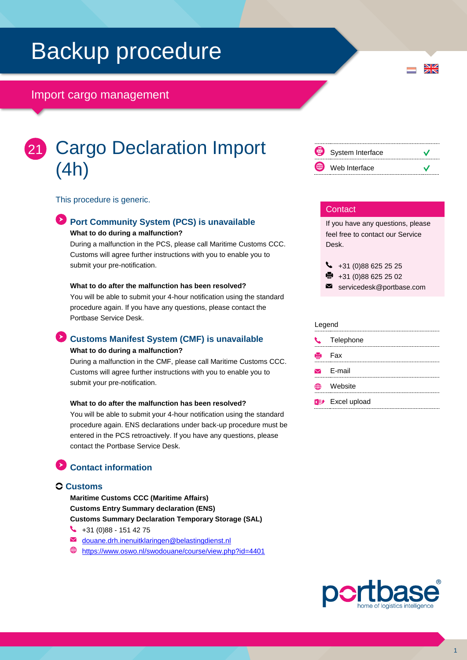# Backup procedure

### Import cargo management

# Cargo Declaration Import (4h) 21

This procedure is generic.

# **Port Community System (PCS) is unavailable**

**What to do during a malfunction?**

During a malfunction in the PCS, please call Maritime Customs CCC. Customs will agree further instructions with you to enable you to submit your pre-notification.

#### **What to do after the malfunction has been resolved?**

You will be able to submit your 4-hour notification using the standard procedure again. If you have any questions, please contact the Portbase Service Desk.

## **Customs Manifest System (CMF) is unavailable**

#### **What to do during a malfunction?**

During a malfunction in the CMF, please call Maritime Customs CCC. Customs will agree further instructions with you to enable you to submit your pre-notification.

#### **What to do after the malfunction has been resolved?**

You will be able to submit your 4-hour notification using the standard procedure again. ENS declarations under back-up procedure must be entered in the PCS retroactively. If you have any questions, please contact the Portbase Service Desk.

## **Contact information**

### **Customs**

**Maritime Customs CCC (Maritime Affairs) Customs Entry Summary declaration (ENS) Customs Summary Declaration Temporary Storage (SAL)**

- $\bigcup$  +31 (0)88 151 42 75
- M [douane.drh.inenuitklaringen@belastingdienst.nl](mailto:douane.drh.inenuitklaringen@belastingdienst.nl)
- <https://www.oswo.nl/swodouane/course/view.php?id=4401>



 $\frac{N}{N}$ 

#### **Contact**

If you have any questions, please feel free to contact our Service Desk.

 $\bigcup$  +31 (0)88 625 25 25

- +31 (0)88 625 25 02
- $\blacksquare$ servicedesk@portbase.com

#### Legend

| J. | Telephone                          |
|----|------------------------------------|
|    | <b>eded</b> Fax                    |
|    | $\triangleright$ F-mail            |
| 笧  | Website                            |
|    | <b>x</b> <sup>#</sup> Excel upload |



1